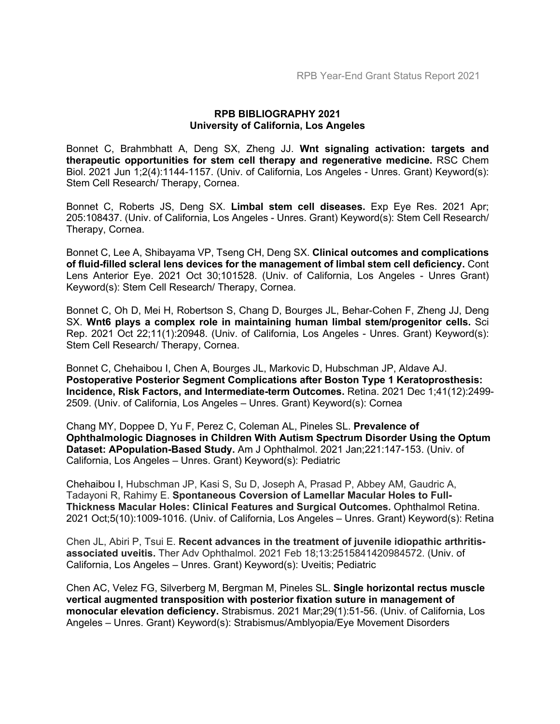## **RPB BIBLIOGRAPHY 2021 University of California, Los Angeles**

Bonnet C, Brahmbhatt A, Deng SX, Zheng JJ. **Wnt signaling activation: targets and therapeutic opportunities for stem cell therapy and regenerative medicine.** RSC Chem Biol. 2021 Jun 1;2(4):1144-1157. (Univ. of California, Los Angeles - Unres. Grant) Keyword(s): Stem Cell Research/ Therapy, Cornea.

Bonnet C, Roberts JS, Deng SX. **Limbal stem cell diseases.** Exp Eye Res. 2021 Apr; 205:108437. (Univ. of California, Los Angeles - Unres. Grant) Keyword(s): Stem Cell Research/ Therapy, Cornea.

Bonnet C, Lee A, Shibayama VP, Tseng CH, Deng SX. **Clinical outcomes and complications of fluid-filled scleral lens devices for the management of limbal stem cell deficiency.** Cont Lens Anterior Eye. 2021 Oct 30;101528. (Univ. of California, Los Angeles - Unres Grant) Keyword(s): Stem Cell Research/ Therapy, Cornea.

Bonnet C, Oh D, Mei H, Robertson S, Chang D, Bourges JL, Behar-Cohen F, Zheng JJ, Deng SX. **Wnt6 plays a complex role in maintaining human limbal stem/progenitor cells.** Sci Rep. 2021 Oct 22;11(1):20948. (Univ. of California, Los Angeles - Unres. Grant) Keyword(s): Stem Cell Research/ Therapy, Cornea.

Bonnet C, Chehaibou I, Chen A, Bourges JL, Markovic D, Hubschman JP, Aldave AJ. **Postoperative Posterior Segment Complications after Boston Type 1 Keratoprosthesis: Incidence, Risk Factors, and Intermediate-term Outcomes.** Retina. 2021 Dec 1;41(12):2499- 2509. (Univ. of California, Los Angeles – Unres. Grant) Keyword(s): Cornea

Chang MY, Doppee D, Yu F, Perez C, Coleman AL, Pineles SL. **Prevalence of Ophthalmologic Diagnoses in Children With Autism Spectrum Disorder Using the Optum Dataset: APopulation-Based Study.** Am J Ophthalmol. 2021 Jan;221:147-153. (Univ. of California, Los Angeles – Unres. Grant) Keyword(s): Pediatric

Chehaibou I, Hubschman JP, Kasi S, Su D, Joseph A, Prasad P, Abbey AM, Gaudric A, Tadayoni R, Rahimy E. **Spontaneous Coversion of Lamellar Macular Holes to Full-Thickness Macular Holes: Clinical Features and Surgical Outcomes.** Ophthalmol Retina. 2021 Oct;5(10):1009-1016. (Univ. of California, Los Angeles – Unres. Grant) Keyword(s): Retina

Chen JL, Abiri P, Tsui E. **Recent advances in the treatment of juvenile idiopathic arthritisassociated uveitis.** Ther Adv Ophthalmol. 2021 Feb 18;13:2515841420984572. (Univ. of California, Los Angeles – Unres. Grant) Keyword(s): Uveitis; Pediatric

Chen AC, Velez FG, Silverberg M, Bergman M, Pineles SL. **Single horizontal rectus muscle vertical augmented transposition with posterior fixation suture in management of monocular elevation deficiency.** Strabismus. 2021 Mar;29(1):51-56. (Univ. of California, Los Angeles – Unres. Grant) Keyword(s): Strabismus/Amblyopia/Eye Movement Disorders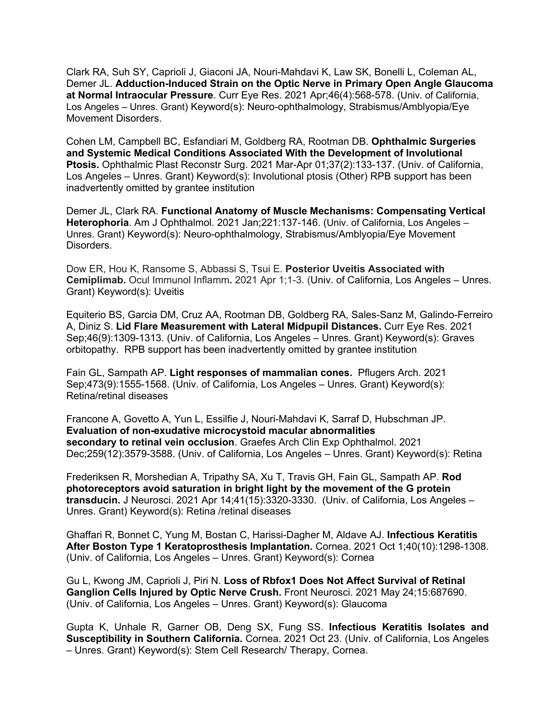Clark RA, Suh SY, Caprioli J, Giaconi JA, Nouri-Mahdavi K, Law SK, Bonelli L, Coleman AL, Demer JL. **Adduction-Induced Strain on the Optic Nerve in Primary Open Angle Glaucoma at Normal Intraocular Pressure**. Curr Eye Res. 2021 Apr;46(4):568-578. (Univ. of California, Los Angeles – Unres. Grant) Keyword(s): Neuro-ophthalmology, Strabismus/Amblyopia/Eye Movement Disorders.

Cohen LM, Campbell BC, Esfandiari M, Goldberg RA, Rootman DB. **Ophthalmic Surgeries and Systemic Medical Conditions Associated With the Development of Involutional Ptosis.** Ophthalmic Plast Reconstr Surg. 2021 Mar-Apr 01;37(2):133-137. (Univ. of California, Los Angeles – Unres. Grant) Keyword(s): Involutional ptosis (Other) RPB support has been inadvertently omitted by grantee institution

Demer JL, Clark RA. **Functional Anatomy of Muscle Mechanisms: Compensating Vertical Heterophoria**. Am J Ophthalmol. 2021 Jan;221:137-146. (Univ. of California, Los Angeles – Unres. Grant) Keyword(s): Neuro-ophthalmology, Strabismus/Amblyopia/Eye Movement Disorders.

Dow ER, Hou K, Ransome S, Abbassi S, Tsui E. **Posterior Uveitis Associated with Cemiplimab.** Ocul Immunol Inflamm**.** 2021 Apr 1;1-3. (Univ. of California, Los Angeles – Unres. Grant) Keyword(s): Uveitis

Equiterio BS, Garcia DM, Cruz AA, Rootman DB, Goldberg RA, Sales-Sanz M, Galindo-Ferreiro A, Diniz S. **Lid Flare Measurement with Lateral Midpupil Distances.** Curr Eye Res. 2021 Sep;46(9):1309-1313. (Univ. of California, Los Angeles – Unres. Grant) Keyword(s): Graves orbitopathy. RPB support has been inadvertently omitted by grantee institution

Fain GL, Sampath AP. **Light responses of mammalian cones.** Pflugers Arch. 2021 Sep;473(9):1555-1568. (Univ. of California, Los Angeles – Unres. Grant) Keyword(s): Retina/retinal diseases

Francone A, Govetto A, Yun L, Essilfie J, Nouri-Mahdavi K, Sarraf D, Hubschman JP. **Evaluation of non-exudative microcystoid macular abnormalities secondary to retinal vein occlusion**. Graefes Arch Clin Exp Ophthalmol. 2021 Dec;259(12):3579-3588. (Univ. of California, Los Angeles – Unres. Grant) Keyword(s): Retina

Frederiksen R, Morshedian A, Tripathy SA, Xu T, Travis GH, Fain GL, Sampath AP. **Rod photoreceptors avoid saturation in bright light by the movement of the G protein transducin.** J Neurosci. 2021 Apr 14;41(15):3320-3330. (Univ. of California, Los Angeles – Unres. Grant) Keyword(s): Retina /retinal diseases

Ghaffari R, Bonnet C, Yung M, Bostan C, Harissi-Dagher M, Aldave AJ. **Infectious Keratitis After Boston Type 1 Keratoprosthesis Implantation.** Cornea. 2021 Oct 1;40(10):1298-1308. (Univ. of California, Los Angeles – Unres. Grant) Keyword(s): Cornea

Gu L, Kwong JM, Caprioli J, Piri N. **Loss of Rbfox1 Does Not Affect Survival of Retinal Ganglion Cells Injured by Optic Nerve Crush.** Front Neurosci. 2021 May 24;15:687690. (Univ. of California, Los Angeles – Unres. Grant) Keyword(s): Glaucoma

Gupta K, Unhale R, Garner OB, Deng SX, Fung SS. **Infectious Keratitis Isolates and Susceptibility in Southern California.** Cornea. 2021 Oct 23. (Univ. of California, Los Angeles – Unres. Grant) Keyword(s): Stem Cell Research/ Therapy, Cornea.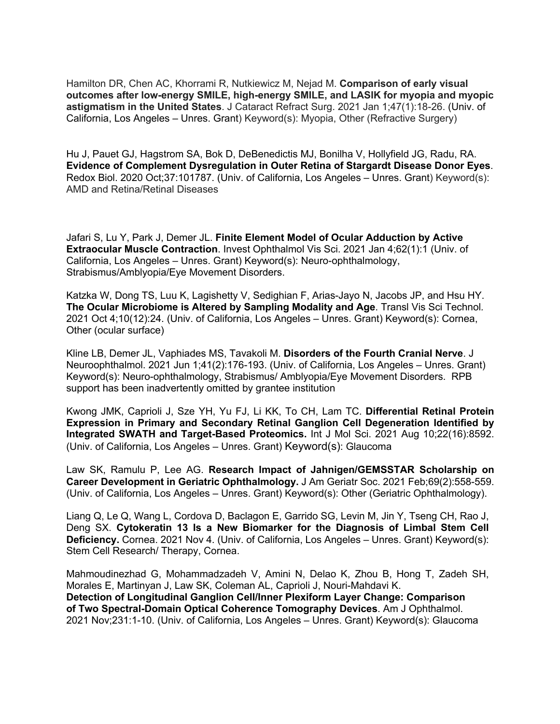Hamilton DR, Chen AC, Khorrami R, Nutkiewicz M, Nejad M. **Comparison of early visual outcomes after low-energy SMILE, high-energy SMILE, and LASIK for myopia and myopic astigmatism in the United States**. J Cataract Refract Surg. 2021 Jan 1;47(1):18-26. (Univ. of California, Los Angeles – Unres. Grant) Keyword(s): Myopia, Other (Refractive Surgery)

Hu J, Pauet GJ, Hagstrom SA, Bok D, DeBenedictis MJ, Bonilha V, Hollyfield JG, Radu, RA. **Evidence of Complement Dysregulation in Outer Retina of Stargardt Disease Donor Eyes**. Redox Biol. 2020 Oct;37:101787. (Univ. of California, Los Angeles – Unres. Grant) Keyword(s): AMD and Retina/Retinal Diseases

Jafari S, Lu Y, Park J, Demer JL. **Finite Element Model of Ocular Adduction by Active Extraocular Muscle Contraction**. Invest Ophthalmol Vis Sci. 2021 Jan 4;62(1):1 (Univ. of California, Los Angeles – Unres. Grant) Keyword(s): Neuro-ophthalmology, Strabismus/Amblyopia/Eye Movement Disorders.

Katzka W, Dong TS, Luu K, Lagishetty V, Sedighian F, Arias-Jayo N, Jacobs JP, and Hsu HY. **The Ocular Microbiome is Altered by Sampling Modality and Age**. Transl Vis Sci Technol*.*  2021 Oct 4;10(12):24. (Univ. of California, Los Angeles – Unres. Grant) Keyword(s): Cornea, Other (ocular surface)

Kline LB, Demer JL, Vaphiades MS, Tavakoli M. **Disorders of the Fourth Cranial Nerve**. J Neuroophthalmol. 2021 Jun 1;41(2):176-193. (Univ. of California, Los Angeles – Unres. Grant) Keyword(s): Neuro-ophthalmology, Strabismus/ Amblyopia/Eye Movement Disorders. RPB support has been inadvertently omitted by grantee institution

Kwong JMK, Caprioli J, Sze YH, Yu FJ, Li KK, To CH, Lam TC. **Differential Retinal Protein Expression in Primary and Secondary Retinal Ganglion Cell Degeneration Identified by Integrated SWATH and Target-Based Proteomics.** Int J Mol Sci. 2021 Aug 10;22(16):8592. (Univ. of California, Los Angeles – Unres. Grant) Keyword(s): Glaucoma

Law SK, Ramulu P, Lee AG. **Research Impact of Jahnigen/GEMSSTAR Scholarship on Career Development in Geriatric Ophthalmology.** J Am Geriatr Soc. 2021 Feb;69(2):558-559. (Univ. of California, Los Angeles – Unres. Grant) Keyword(s): Other (Geriatric Ophthalmology).

Liang Q, Le Q, Wang L, Cordova D, Baclagon E, Garrido SG, Levin M, Jin Y, Tseng CH, Rao J, Deng SX. **Cytokeratin 13 Is a New Biomarker for the Diagnosis of Limbal Stem Cell Deficiency.** Cornea. 2021 Nov 4. (Univ. of California, Los Angeles – Unres. Grant) Keyword(s): Stem Cell Research/ Therapy, Cornea.

Mahmoudinezhad G, Mohammadzadeh V, Amini N, Delao K, Zhou B, Hong T, Zadeh SH, Morales E, Martinyan J, Law SK, Coleman AL, Caprioli J, Nouri-Mahdavi K. **Detection of Longitudinal Ganglion Cell/Inner Plexiform Layer Change: Comparison of Two Spectral-Domain Optical Coherence Tomography Devices**. Am J Ophthalmol. 2021 Nov;231:1-10. (Univ. of California, Los Angeles – Unres. Grant) Keyword(s): Glaucoma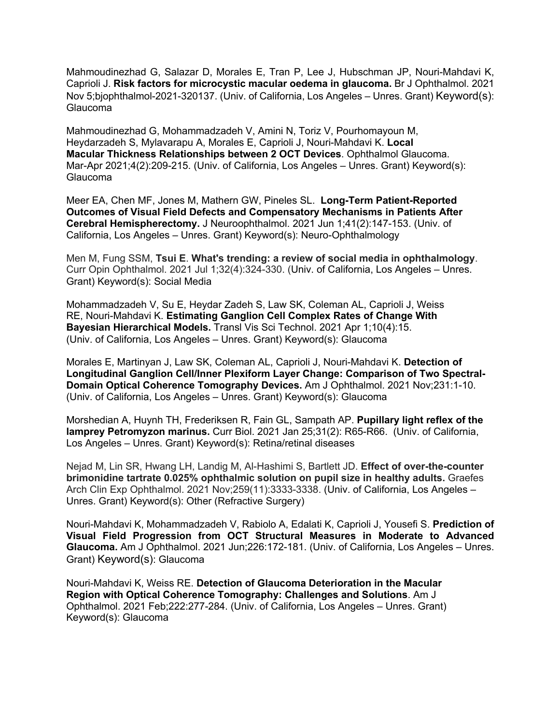Mahmoudinezhad G, Salazar D, Morales E, Tran P, Lee J, Hubschman JP, Nouri-Mahdavi K, Caprioli J. **Risk factors for microcystic macular oedema in glaucoma.** Br J Ophthalmol. 2021 Nov 5;bjophthalmol-2021-320137. (Univ. of California, Los Angeles – Unres. Grant) Keyword(s): Glaucoma

Mahmoudinezhad G, Mohammadzadeh V, Amini N, Toriz V, Pourhomayoun M, Heydarzadeh S, Mylavarapu A, Morales E, Caprioli J, Nouri-Mahdavi K. **Local Macular Thickness Relationships between 2 OCT Devices**. Ophthalmol Glaucoma. Mar-Apr 2021;4(2):209-215. (Univ. of California, Los Angeles – Unres. Grant) Keyword(s): Glaucoma

Meer EA, Chen MF, Jones M, Mathern GW, Pineles SL. **Long-Term Patient-Reported Outcomes of Visual Field Defects and Compensatory Mechanisms in Patients After Cerebral Hemispherectomy.** J Neuroophthalmol. 2021 Jun 1;41(2):147-153. (Univ. of California, Los Angeles – Unres. Grant) Keyword(s): Neuro-Ophthalmology

Men M, Fung SSM, **Tsui E**. **What's trending: a review of social media in ophthalmology**. Curr Opin Ophthalmol. 2021 Jul 1;32(4):324-330. (Univ. of California, Los Angeles – Unres. Grant) Keyword(s): Social Media

Mohammadzadeh V, Su E, Heydar Zadeh S, Law SK, Coleman AL, Caprioli J, Weiss RE, Nouri-Mahdavi K. **Estimating Ganglion Cell Complex Rates of Change With Bayesian Hierarchical Models.** Transl Vis Sci Technol. 2021 Apr 1;10(4):15. (Univ. of California, Los Angeles – Unres. Grant) Keyword(s): Glaucoma

Morales E, Martinyan J, Law SK, Coleman AL, Caprioli J, Nouri-Mahdavi K. **Detection of Longitudinal Ganglion Cell/Inner Plexiform Layer Change: Comparison of Two Spectral-Domain Optical Coherence Tomography Devices.** Am J Ophthalmol. 2021 Nov;231:1-10. (Univ. of California, Los Angeles – Unres. Grant) Keyword(s): Glaucoma

Morshedian A, Huynh TH, Frederiksen R, Fain GL, Sampath AP. **Pupillary light reflex of the lamprey Petromyzon marinus.** Curr Biol. 2021 Jan 25;31(2): R65-R66. (Univ. of California, Los Angeles – Unres. Grant) Keyword(s): Retina/retinal diseases

Nejad M, Lin SR, Hwang LH, Landig M, Al-Hashimi S, Bartlett JD. **Effect of over-the-counter brimonidine tartrate 0.025% ophthalmic solution on pupil size in healthy adults.** Graefes Arch Clin Exp Ophthalmol. 2021 Nov;259(11):3333-3338. (Univ. of California, Los Angeles – Unres. Grant) Keyword(s): Other (Refractive Surgery)

Nouri-Mahdavi K, Mohammadzadeh V, Rabiolo A, Edalati K, Caprioli J, Yousefi S. **Prediction of Visual Field Progression from OCT Structural Measures in Moderate to Advanced Glaucoma.** Am J Ophthalmol. 2021 Jun;226:172-181. (Univ. of California, Los Angeles – Unres. Grant) Keyword(s): Glaucoma

Nouri-Mahdavi K, Weiss RE. **Detection of Glaucoma Deterioration in the Macular Region with Optical Coherence Tomography: Challenges and Solutions**. Am J Ophthalmol. 2021 Feb;222:277-284. (Univ. of California, Los Angeles – Unres. Grant) Keyword(s): Glaucoma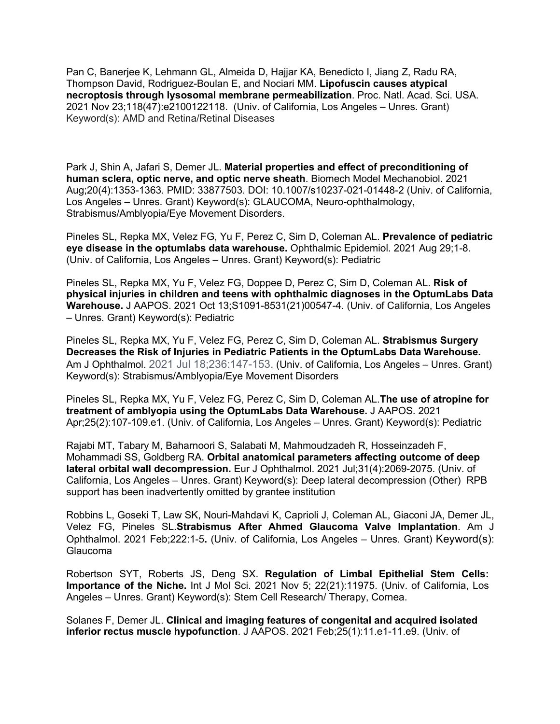Pan C, Banerjee K, Lehmann GL, Almeida D, Hajjar KA, Benedicto I, Jiang Z, Radu RA, Thompson David, Rodriguez-Boulan E, and Nociari MM. **Lipofuscin causes atypical necroptosis through lysosomal membrane permeabilization**. Proc. Natl. Acad. Sci. USA. 2021 Nov 23;118(47):e2100122118. (Univ. of California, Los Angeles – Unres. Grant) Keyword(s): AMD and Retina/Retinal Diseases

Park J, Shin A, Jafari S, Demer JL. **Material properties and effect of preconditioning of human sclera, optic nerve, and optic nerve sheath**. Biomech Model Mechanobiol. 2021 Aug;20(4):1353-1363. PMID: 33877503. DOI: 10.1007/s10237-021-01448-2 (Univ. of California, Los Angeles – Unres. Grant) Keyword(s): GLAUCOMA, Neuro-ophthalmology, Strabismus/Amblyopia/Eye Movement Disorders.

Pineles SL, Repka MX, Velez FG, Yu F, Perez C, Sim D, Coleman AL. **Prevalence of pediatric eye disease in the optumlabs data warehouse.** Ophthalmic Epidemiol. 2021 Aug 29;1-8. (Univ. of California, Los Angeles – Unres. Grant) Keyword(s): Pediatric

Pineles SL, Repka MX, Yu F, Velez FG, Doppee D, Perez C, Sim D, Coleman AL. **Risk of physical injuries in children and teens with ophthalmic diagnoses in the OptumLabs Data Warehouse.** J AAPOS. 2021 Oct 13;S1091-8531(21)00547-4. (Univ. of California, Los Angeles – Unres. Grant) Keyword(s): Pediatric

Pineles SL, Repka MX, Yu F, Velez FG, Perez C, Sim D, Coleman AL. **Strabismus Surgery Decreases the Risk of Injuries in Pediatric Patients in the OptumLabs Data Warehouse.** Am J Ophthalmol. 2021 Jul 18;236:147-153. (Univ. of California, Los Angeles – Unres. Grant) Keyword(s): Strabismus/Amblyopia/Eye Movement Disorders

Pineles SL, Repka MX, Yu F, Velez FG, Perez C, Sim D, Coleman AL.**The use of atropine for treatment of amblyopia using the OptumLabs Data Warehouse.** J AAPOS. 2021 Apr;25(2):107-109.e1. (Univ. of California, Los Angeles – Unres. Grant) Keyword(s): Pediatric

Rajabi MT, Tabary M, Baharnoori S, Salabati M, Mahmoudzadeh R, Hosseinzadeh F, Mohammadi SS, Goldberg RA. **Orbital anatomical parameters affecting outcome of deep lateral orbital wall decompression.** Eur J Ophthalmol. 2021 Jul;31(4):2069-2075. (Univ. of California, Los Angeles – Unres. Grant) Keyword(s): Deep lateral decompression (Other) RPB support has been inadvertently omitted by grantee institution

Robbins L, Goseki T, Law SK, Nouri-Mahdavi K, Caprioli J, Coleman AL, Giaconi JA, Demer JL, Velez FG, Pineles SL.**Strabismus After Ahmed Glaucoma Valve Implantation**. Am J Ophthalmol. 2021 Feb;222:1-5**.** (Univ. of California, Los Angeles – Unres. Grant) Keyword(s): Glaucoma

Robertson SYT, Roberts JS, Deng SX. **Regulation of Limbal Epithelial Stem Cells: Importance of the Niche.** Int J Mol Sci. 2021 Nov 5; 22(21):11975. (Univ. of California, Los Angeles – Unres. Grant) Keyword(s): Stem Cell Research/ Therapy, Cornea.

Solanes F, Demer JL. **Clinical and imaging features of congenital and acquired isolated inferior rectus muscle hypofunction**. J AAPOS. 2021 Feb;25(1):11.e1-11.e9. (Univ. of